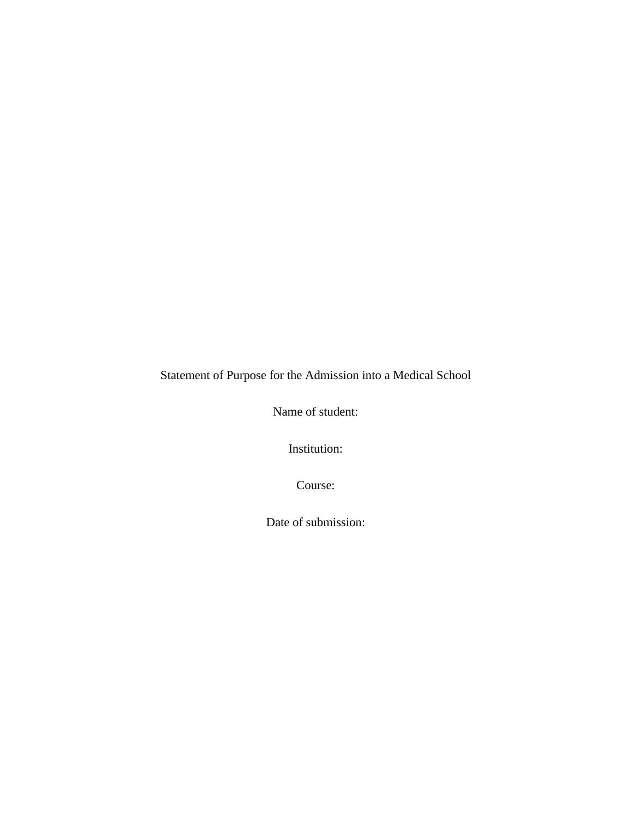Statement of Purpose for the Admission into a Medical School

Name of student:

Institution:

Course:

Date of submission: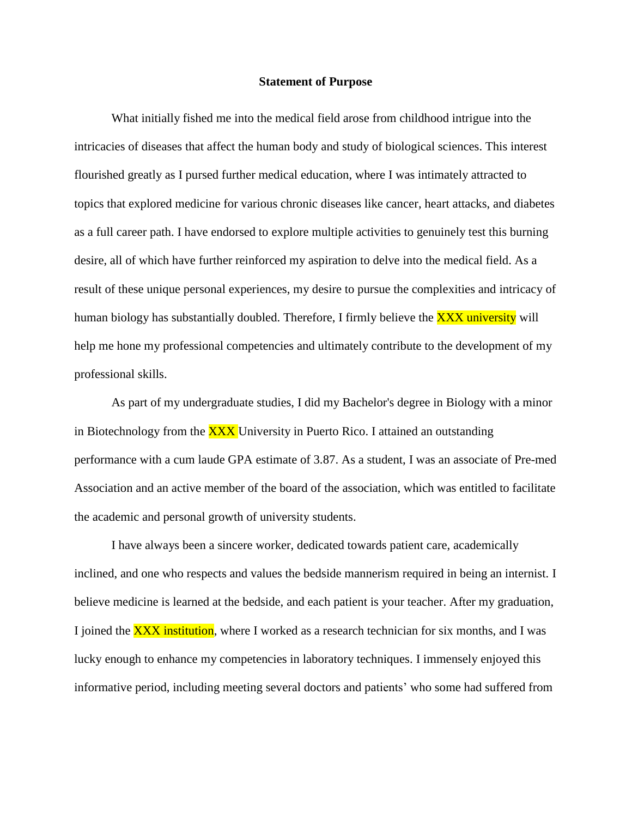## **Statement of Purpose**

What initially fished me into the medical field arose from childhood intrigue into the intricacies of diseases that affect the human body and study of biological sciences. This interest flourished greatly as I pursed further medical education, where I was intimately attracted to topics that explored medicine for various chronic diseases like cancer, heart attacks, and diabetes as a full career path. I have endorsed to explore multiple activities to genuinely test this burning desire, all of which have further reinforced my aspiration to delve into the medical field. As a result of these unique personal experiences, my desire to pursue the complexities and intricacy of human biology has substantially doubled. Therefore, I firmly believe the **XXX university** will help me hone my professional competencies and ultimately contribute to the development of my professional skills.

As part of my undergraduate studies, I did my Bachelor's degree in Biology with a minor in Biotechnology from the **XXX** University in Puerto Rico. I attained an outstanding performance with a cum laude GPA estimate of 3.87. As a student, I was an associate of Pre-med Association and an active member of the board of the association, which was entitled to facilitate the academic and personal growth of university students.

I have always been a sincere worker, dedicated towards patient care, academically inclined, and one who respects and values the bedside mannerism required in being an internist. I believe medicine is learned at the bedside, and each patient is your teacher. After my graduation, I joined the **XXX institution**, where I worked as a research technician for six months, and I was lucky enough to enhance my competencies in laboratory techniques. I immensely enjoyed this informative period, including meeting several doctors and patients' who some had suffered from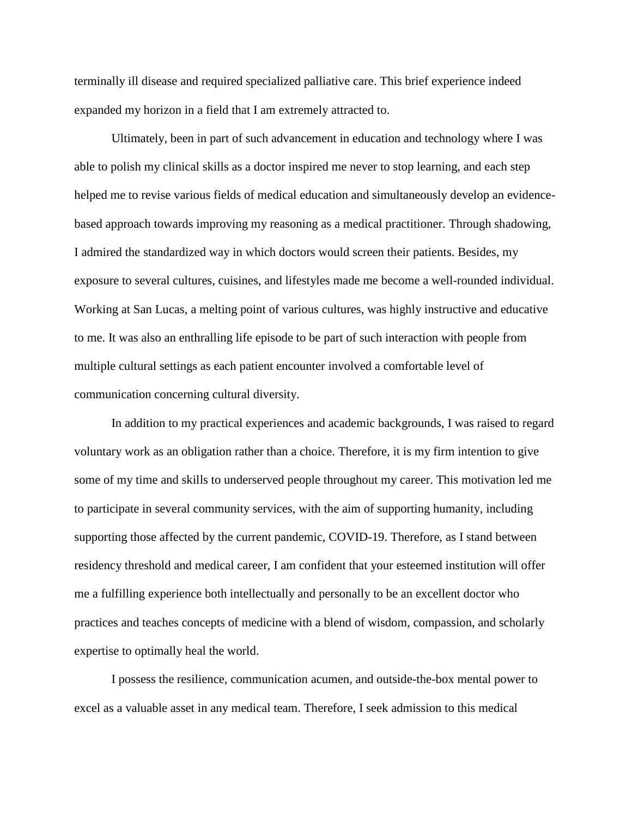terminally ill disease and required specialized palliative care. This brief experience indeed expanded my horizon in a field that I am extremely attracted to.

Ultimately, been in part of such advancement in education and technology where I was able to polish my clinical skills as a doctor inspired me never to stop learning, and each step helped me to revise various fields of medical education and simultaneously develop an evidencebased approach towards improving my reasoning as a medical practitioner. Through shadowing, I admired the standardized way in which doctors would screen their patients. Besides, my exposure to several cultures, cuisines, and lifestyles made me become a well-rounded individual. Working at San Lucas, a melting point of various cultures, was highly instructive and educative to me. It was also an enthralling life episode to be part of such interaction with people from multiple cultural settings as each patient encounter involved a comfortable level of communication concerning cultural diversity.

In addition to my practical experiences and academic backgrounds, I was raised to regard voluntary work as an obligation rather than a choice. Therefore, it is my firm intention to give some of my time and skills to underserved people throughout my career. This motivation led me to participate in several community services, with the aim of supporting humanity, including supporting those affected by the current pandemic, COVID-19. Therefore, as I stand between residency threshold and medical career, I am confident that your esteemed institution will offer me a fulfilling experience both intellectually and personally to be an excellent doctor who practices and teaches concepts of medicine with a blend of wisdom, compassion, and scholarly expertise to optimally heal the world.

I possess the resilience, communication acumen, and outside-the-box mental power to excel as a valuable asset in any medical team. Therefore, I seek admission to this medical